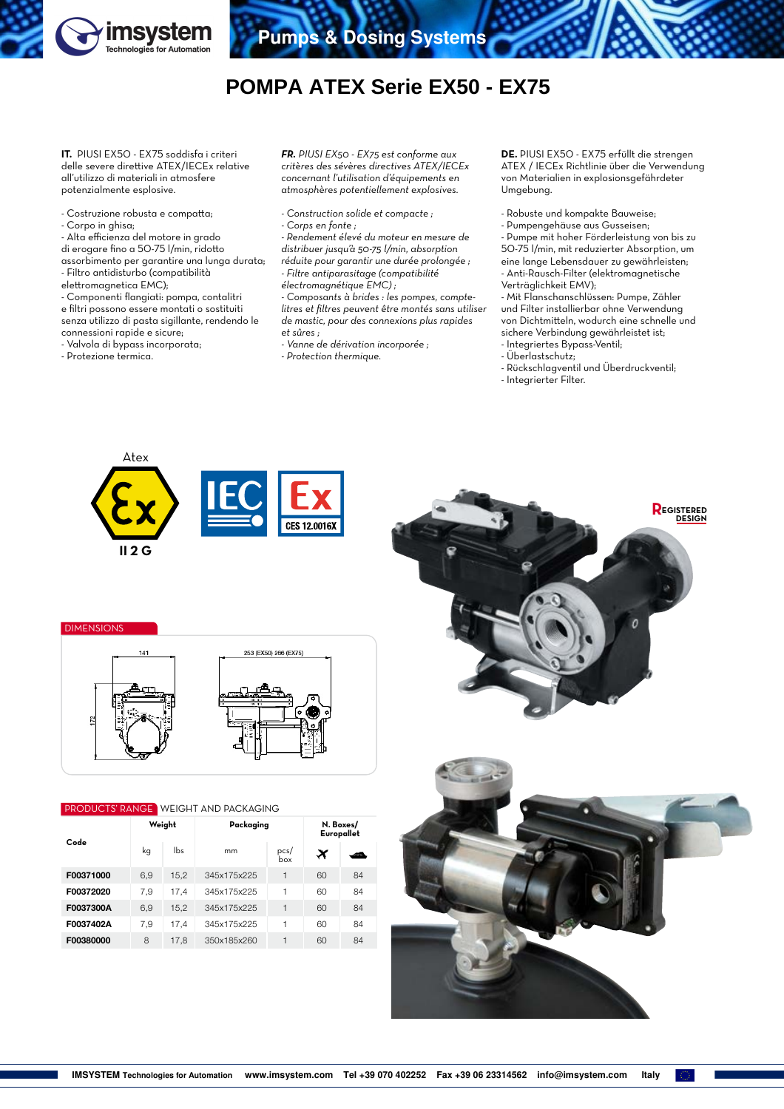

## **POMPA ATEX Serie EX50 - EX75**

**IT.** PIUSI EX50 - EX75 soddisfa i criteri delle severe direttive ATEX/IECEx relative all'utilizzo di materiali in atmosfere potenzialmente esplosive.

- Costruzione robusta e compatta;
- Corpo in ghisa;
- Alta efficienza del motore in grado

di erogare fino a 50-75 l/min, ridotto assorbimento per garantire una lunga durata; - Filtro antidisturbo (compatibilità

- elettromagnetica EMC);
- Componenti flangiati: pompa, contalitri
- e filtri possono essere montati o sostituiti
- senza utilizzo di pasta sigillante, rendendo le
- connessioni rapide e sicure;
- Valvola di bypass incorporata;
- Protezione termica.

*FR. PIUSI EX50 - EX75 est conforme aux critères des sévères directives ATEX/IECEx concernant l'utilisation d'équipements en atmosphères potentiellement explosives.*

- *Construction solide et compacte ;*
- *Corps en fonte ;*

*- Rendement élevé du moteur en mesure de distribuer jusqu'à 50-75 l/min, absorption réduite pour garantir une durée prolongée ; - Filtre antiparasitage (compatibilité* 

*électromagnétique EMC) ;*

*- Composants à brides : les pompes, comptelitres et filtres peuvent être montés sans utiliser de mastic, pour des connexions plus rapides et sûres ;*

- *Vanne de dérivation incorporée ;*
- *Protection thermique.*

**DE.** PIUSI EX50 - EX75 erfüllt die strengen ATEX / IECEx Richtlinie über die Verwendung von Materialien in explosionsgefährdeter Umgebung.

- Robuste und kompakte Bauweise;
- Pumpengehäuse aus Gusseisen;

- Pumpe mit hoher Förderleistung von bis zu 50-75 l/min, mit reduzierter Absorption, um eine lange Lebensdauer zu gewährleisten; - Anti-Rausch-Filter (elektromagnetische Verträglichkeit EMV);

- Mit Flanschanschlüssen: Pumpe, Zähler und Filter installierbar ohne Verwendung von Dichtmitteln, wodurch eine schnelle und sichere Verbindung gewährleistet ist; - Integriertes Bypass-Ventil;

- Überlastschutz;
- Rückschlagventil und Überdruckventil;
- Integrierter Filter.



**DIMENSION** 



## **PRODUCTS' RANGE WEIGHT AND PACKAGING**

| Code      |     | Weight | Packaging   | N. Boxes/<br>Europallet |    |        |
|-----------|-----|--------|-------------|-------------------------|----|--------|
|           | kg  | lbs    | mm          | pcs/<br>box             | ×  | اللعاء |
| F00371000 | 6.9 | 15,2   | 345x175x225 | 1                       | 60 | 84     |
| F00372020 | 7.9 | 17.4   | 345x175x225 | 1                       | 60 | 84     |
| F0037300A | 6.9 | 15,2   | 345x175x225 | 1                       | 60 | 84     |
| F0037402A | 7,9 | 17,4   | 345x175x225 | 1                       | 60 | 84     |
| F00380000 | 8   | 17.8   | 350x185x260 | 1                       | 60 | 84     |